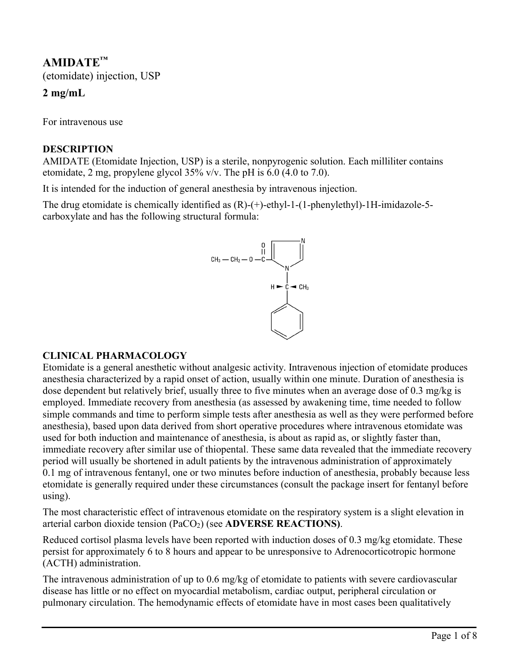**AMIDATE™** (etomidate) injection, USP

## **2 mg/mL**

For intravenous use

### **DESCRIPTION**

AMIDATE (Etomidate Injection, USP) is a sterile, nonpyrogenic solution. Each milliliter contains etomidate, 2 mg, propylene glycol 35% v/v. The pH is 6.0 (4.0 to 7.0).

It is intended for the induction of general anesthesia by intravenous injection.

The drug etomidate is chemically identified as (R)-(+)-ethyl-1-(1-phenylethyl)-1H-imidazole-5 carboxylate and has the following structural formula:



### **CLINICAL PHARMACOLOGY**

Etomidate is a general anesthetic without analgesic activity. Intravenous injection of etomidate produces anesthesia characterized by a rapid onset of action, usually within one minute. Duration of anesthesia is dose dependent but relatively brief, usually three to five minutes when an average dose of 0.3 mg/kg is employed. Immediate recovery from anesthesia (as assessed by awakening time, time needed to follow simple commands and time to perform simple tests after anesthesia as well as they were performed before anesthesia), based upon data derived from short operative procedures where intravenous etomidate was used for both induction and maintenance of anesthesia, is about as rapid as, or slightly faster than, immediate recovery after similar use of thiopental. These same data revealed that the immediate recovery period will usually be shortened in adult patients by the intravenous administration of approximately 0.1 mg of intravenous fentanyl, one or two minutes before induction of anesthesia, probably because less etomidate is generally required under these circumstances (consult the package insert for fentanyl before using).

The most characteristic effect of intravenous etomidate on the respiratory system is a slight elevation in arterial carbon dioxide tension (PaCO2) (see **ADVERSE REACTIONS)**.

Reduced cortisol plasma levels have been reported with induction doses of 0.3 mg/kg etomidate. These persist for approximately 6 to 8 hours and appear to be unresponsive to Adrenocorticotropic hormone (ACTH) administration.

The intravenous administration of up to 0.6 mg/kg of etomidate to patients with severe cardiovascular disease has little or no effect on myocardial metabolism, cardiac output, peripheral circulation or pulmonary circulation. The hemodynamic effects of etomidate have in most cases been qualitatively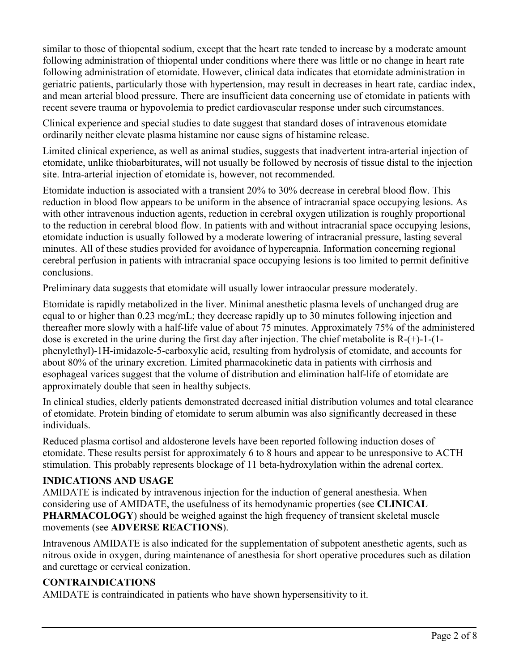similar to those of thiopental sodium, except that the heart rate tended to increase by a moderate amount following administration of thiopental under conditions where there was little or no change in heart rate following administration of etomidate. However, clinical data indicates that etomidate administration in geriatric patients, particularly those with hypertension, may result in decreases in heart rate, cardiac index, and mean arterial blood pressure. There are insufficient data concerning use of etomidate in patients with recent severe trauma or hypovolemia to predict cardiovascular response under such circumstances.

Clinical experience and special studies to date suggest that standard doses of intravenous etomidate ordinarily neither elevate plasma histamine nor cause signs of histamine release.

Limited clinical experience, as well as animal studies, suggests that inadvertent intra-arterial injection of etomidate, unlike thiobarbiturates, will not usually be followed by necrosis of tissue distal to the injection site. Intra-arterial injection of etomidate is, however, not recommended.

Etomidate induction is associated with a transient 20% to 30% decrease in cerebral blood flow. This reduction in blood flow appears to be uniform in the absence of intracranial space occupying lesions. As with other intravenous induction agents, reduction in cerebral oxygen utilization is roughly proportional to the reduction in cerebral blood flow. In patients with and without intracranial space occupying lesions, etomidate induction is usually followed by a moderate lowering of intracranial pressure, lasting several minutes. All of these studies provided for avoidance of hypercapnia. Information concerning regional cerebral perfusion in patients with intracranial space occupying lesions is too limited to permit definitive conclusions.

Preliminary data suggests that etomidate will usually lower intraocular pressure moderately.

Etomidate is rapidly metabolized in the liver. Minimal anesthetic plasma levels of unchanged drug are equal to or higher than 0.23 mcg/mL; they decrease rapidly up to 30 minutes following injection and thereafter more slowly with a half-life value of about 75 minutes. Approximately 75% of the administered dose is excreted in the urine during the first day after injection. The chief metabolite is R-(+)-1-(1 phenylethyl)-1H-imidazole-5-carboxylic acid, resulting from hydrolysis of etomidate, and accounts for about 80% of the urinary excretion. Limited pharmacokinetic data in patients with cirrhosis and esophageal varices suggest that the volume of distribution and elimination half-life of etomidate are approximately double that seen in healthy subjects.

In clinical studies, elderly patients demonstrated decreased initial distribution volumes and total clearance of etomidate. Protein binding of etomidate to serum albumin was also significantly decreased in these individuals.

Reduced plasma cortisol and aldosterone levels have been reported following induction doses of etomidate. These results persist for approximately 6 to 8 hours and appear to be unresponsive to ACTH stimulation. This probably represents blockage of 11 beta-hydroxylation within the adrenal cortex.

## **INDICATIONS AND USAGE**

AMIDATE is indicated by intravenous injection for the induction of general anesthesia. When considering use of AMIDATE, the usefulness of its hemodynamic properties (see **CLINICAL PHARMACOLOGY**) should be weighed against the high frequency of transient skeletal muscle movements (see **ADVERSE REACTIONS**).

Intravenous AMIDATE is also indicated for the supplementation of subpotent anesthetic agents, such as nitrous oxide in oxygen, during maintenance of anesthesia for short operative procedures such as dilation and curettage or cervical conization.

# **CONTRAINDICATIONS**

AMIDATE is contraindicated in patients who have shown hypersensitivity to it.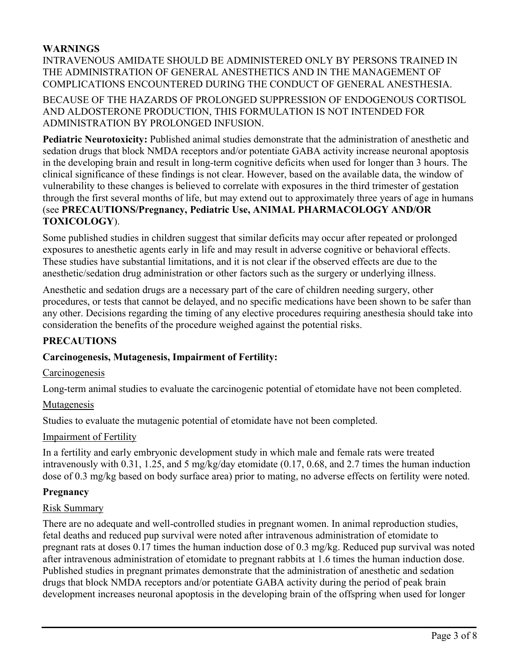## **WARNINGS**

INTRAVENOUS AMIDATE SHOULD BE ADMINISTERED ONLY BY PERSONS TRAINED IN THE ADMINISTRATION OF GENERAL ANESTHETICS AND IN THE MANAGEMENT OF COMPLICATIONS ENCOUNTERED DURING THE CONDUCT OF GENERAL ANESTHESIA.

BECAUSE OF THE HAZARDS OF PROLONGED SUPPRESSION OF ENDOGENOUS CORTISOL AND ALDOSTERONE PRODUCTION, THIS FORMULATION IS NOT INTENDED FOR ADMINISTRATION BY PROLONGED INFUSION.

**Pediatric Neurotoxicity:** Published animal studies demonstrate that the administration of anesthetic and sedation drugs that block NMDA receptors and/or potentiate GABA activity increase neuronal apoptosis in the developing brain and result in long-term cognitive deficits when used for longer than 3 hours. The clinical significance of these findings is not clear. However, based on the available data, the window of vulnerability to these changes is believed to correlate with exposures in the third trimester of gestation through the first several months of life, but may extend out to approximately three years of age in humans (see **PRECAUTIONS/Pregnancy, Pediatric Use, ANIMAL PHARMACOLOGY AND/OR TOXICOLOGY**).

Some published studies in children suggest that similar deficits may occur after repeated or prolonged exposures to anesthetic agents early in life and may result in adverse cognitive or behavioral effects. These studies have substantial limitations, and it is not clear if the observed effects are due to the anesthetic/sedation drug administration or other factors such as the surgery or underlying illness.

Anesthetic and sedation drugs are a necessary part of the care of children needing surgery, other procedures, or tests that cannot be delayed, and no specific medications have been shown to be safer than any other. Decisions regarding the timing of any elective procedures requiring anesthesia should take into consideration the benefits of the procedure weighed against the potential risks.

#### **PRECAUTIONS**

#### **Carcinogenesis, Mutagenesis, Impairment of Fertility:**

#### **Carcinogenesis**

Long-term animal studies to evaluate the carcinogenic potential of etomidate have not been completed.

#### Mutagenesis

Studies to evaluate the mutagenic potential of etomidate have not been completed.

#### Impairment of Fertility

In a fertility and early embryonic development study in which male and female rats were treated intravenously with 0.31, 1.25, and 5 mg/kg/day etomidate (0.17, 0.68, and 2.7 times the human induction dose of 0.3 mg/kg based on body surface area) prior to mating, no adverse effects on fertility were noted.

#### **Pregnancy**

#### Risk Summary

There are no adequate and well-controlled studies in pregnant women. In animal reproduction studies, fetal deaths and reduced pup survival were noted after intravenous administration of etomidate to pregnant rats at doses 0.17 times the human induction dose of 0.3 mg/kg. Reduced pup survival was noted after intravenous administration of etomidate to pregnant rabbits at 1.6 times the human induction dose. Published studies in pregnant primates demonstrate that the administration of anesthetic and sedation drugs that block NMDA receptors and/or potentiate GABA activity during the period of peak brain development increases neuronal apoptosis in the developing brain of the offspring when used for longer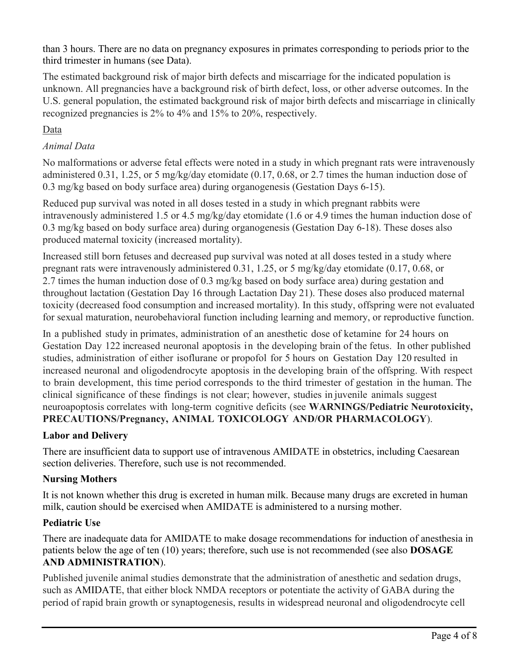than 3 hours. There are no data on pregnancy exposures in primates corresponding to periods prior to the third trimester in humans (see Data).

The estimated background risk of major birth defects and miscarriage for the indicated population is unknown. All pregnancies have a background risk of birth defect, loss, or other adverse outcomes. In the U.S. general population, the estimated background risk of major birth defects and miscarriage in clinically recognized pregnancies is 2% to 4% and 15% to 20%, respectively.

# Data

### *Animal Data*

No malformations or adverse fetal effects were noted in a study in which pregnant rats were intravenously administered 0.31, 1.25, or 5 mg/kg/day etomidate (0.17, 0.68, or 2.7 times the human induction dose of 0.3 mg/kg based on body surface area) during organogenesis (Gestation Days 6-15).

Reduced pup survival was noted in all doses tested in a study in which pregnant rabbits were intravenously administered 1.5 or 4.5 mg/kg/day etomidate (1.6 or 4.9 times the human induction dose of 0.3 mg/kg based on body surface area) during organogenesis (Gestation Day 6-18). These doses also produced maternal toxicity (increased mortality).

Increased still born fetuses and decreased pup survival was noted at all doses tested in a study where pregnant rats were intravenously administered 0.31, 1.25, or 5 mg/kg/day etomidate (0.17, 0.68, or 2.7 times the human induction dose of 0.3 mg/kg based on body surface area) during gestation and throughout lactation (Gestation Day 16 through Lactation Day 21). These doses also produced maternal toxicity (decreased food consumption and increased mortality). In this study, offspring were not evaluated for sexual maturation, neurobehavioral function including learning and memory, or reproductive function.

In a published study in primates, administration of an anesthetic dose of ketamine for 24 hours on Gestation Day 122 increased neuronal apoptosis in the developing brain of the fetus. In other published studies, administration of either isoflurane or propofol for 5 hours on Gestation Day 120 resulted in increased neuronal and oligodendrocyte apoptosis in the developing brain of the offspring. With respect to brain development, this time period corresponds to the third trimester of gestation in the human. The clinical significance of these findings is not clear; however, studies in juvenile animals suggest neuroapoptosis correlates with long-term cognitive deficits (see **WARNINGS/Pediatric Neurotoxicity, PRECAUTIONS/Pregnancy, ANIMAL TOXICOLOGY AND/OR PHARMACOLOGY**).

### **Labor and Delivery**

There are insufficient data to support use of intravenous AMIDATE in obstetrics, including Caesarean section deliveries. Therefore, such use is not recommended.

# **Nursing Mothers**

It is not known whether this drug is excreted in human milk. Because many drugs are excreted in human milk, caution should be exercised when AMIDATE is administered to a nursing mother.

### **Pediatric Use**

There are inadequate data for AMIDATE to make dosage recommendations for induction of anesthesia in patients below the age of ten (10) years; therefore, such use is not recommended (see also **DOSAGE AND ADMINISTRATION**).

Published juvenile animal studies demonstrate that the administration of anesthetic and sedation drugs, such as AMIDATE, that either block NMDA receptors or potentiate the activity of GABA during the period of rapid brain growth or synaptogenesis, results in widespread neuronal and oligodendrocyte cell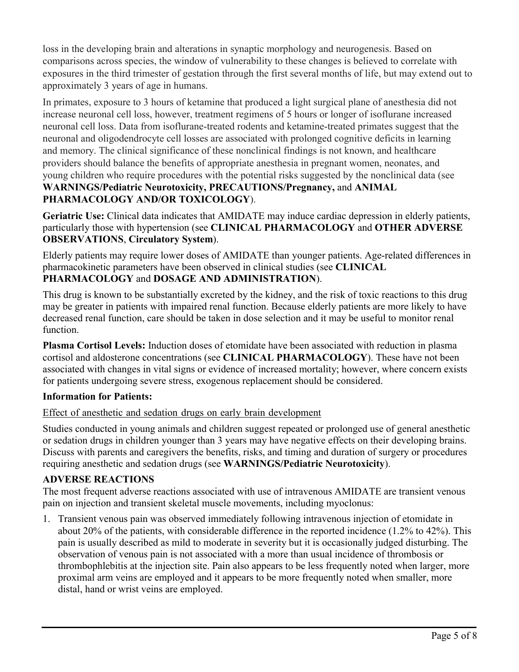loss in the developing brain and alterations in synaptic morphology and neurogenesis. Based on comparisons across species, the window of vulnerability to these changes is believed to correlate with exposures in the third trimester of gestation through the first several months of life, but may extend out to approximately 3 years of age in humans.

In primates, exposure to 3 hours of ketamine that produced a light surgical plane of anesthesia did not increase neuronal cell loss, however, treatment regimens of 5 hours or longer of isoflurane increased neuronal cell loss. Data from isoflurane-treated rodents and ketamine-treated primates suggest that the neuronal and oligodendrocyte cell losses are associated with prolonged cognitive deficits in learning and memory. The clinical significance of these nonclinical findings is not known, and healthcare providers should balance the benefits of appropriate anesthesia in pregnant women, neonates, and young children who require procedures with the potential risks suggested by the nonclinical data (see **WARNINGS/Pediatric Neurotoxicity, PRECAUTIONS/Pregnancy,** and **ANIMAL** 

# **PHARMACOLOGY AND/OR TOXICOLOGY**).

**Geriatric Use:** Clinical data indicates that AMIDATE may induce cardiac depression in elderly patients, particularly those with hypertension (see **CLINICAL PHARMACOLOGY** and **OTHER ADVERSE OBSERVATIONS**, **Circulatory System**).

Elderly patients may require lower doses of AMIDATE than younger patients. Age-related differences in pharmacokinetic parameters have been observed in clinical studies (see **CLINICAL PHARMACOLOGY** and **DOSAGE AND ADMINISTRATION**).

This drug is known to be substantially excreted by the kidney, and the risk of toxic reactions to this drug may be greater in patients with impaired renal function. Because elderly patients are more likely to have decreased renal function, care should be taken in dose selection and it may be useful to monitor renal function.

**Plasma Cortisol Levels:** Induction doses of etomidate have been associated with reduction in plasma cortisol and aldosterone concentrations (see **CLINICAL PHARMACOLOGY**). These have not been associated with changes in vital signs or evidence of increased mortality; however, where concern exists for patients undergoing severe stress, exogenous replacement should be considered.

### **Information for Patients:**

Effect of anesthetic and sedation drugs on early brain development

Studies conducted in young animals and children suggest repeated or prolonged use of general anesthetic or sedation drugs in children younger than 3 years may have negative effects on their developing brains. Discuss with parents and caregivers the benefits, risks, and timing and duration of surgery or procedures requiring anesthetic and sedation drugs (see **WARNINGS/Pediatric Neurotoxicity**).

### **ADVERSE REACTIONS**

The most frequent adverse reactions associated with use of intravenous AMIDATE are transient venous pain on injection and transient skeletal muscle movements, including myoclonus:

1. Transient venous pain was observed immediately following intravenous injection of etomidate in about 20% of the patients, with considerable difference in the reported incidence (1.2% to 42%). This pain is usually described as mild to moderate in severity but it is occasionally judged disturbing. The observation of venous pain is not associated with a more than usual incidence of thrombosis or thrombophlebitis at the injection site. Pain also appears to be less frequently noted when larger, more proximal arm veins are employed and it appears to be more frequently noted when smaller, more distal, hand or wrist veins are employed.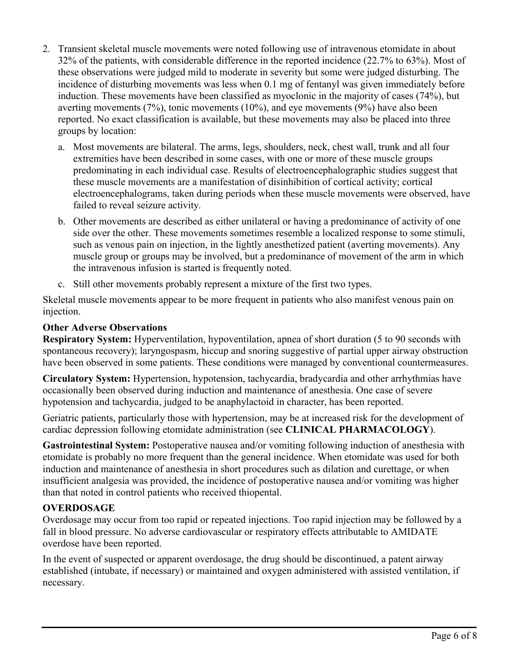- 2. Transient skeletal muscle movements were noted following use of intravenous etomidate in about 32% of the patients, with considerable difference in the reported incidence (22.7% to 63%). Most of these observations were judged mild to moderate in severity but some were judged disturbing. The incidence of disturbing movements was less when 0.1 mg of fentanyl was given immediately before induction. These movements have been classified as myoclonic in the majority of cases (74%), but averting movements (7%), tonic movements (10%), and eye movements (9%) have also been reported. No exact classification is available, but these movements may also be placed into three groups by location:
	- a. Most movements are bilateral. The arms, legs, shoulders, neck, chest wall, trunk and all four extremities have been described in some cases, with one or more of these muscle groups predominating in each individual case. Results of electroencephalographic studies suggest that these muscle movements are a manifestation of disinhibition of cortical activity; cortical electroencephalograms, taken during periods when these muscle movements were observed, have failed to reveal seizure activity.
	- b. Other movements are described as either unilateral or having a predominance of activity of one side over the other. These movements sometimes resemble a localized response to some stimuli, such as venous pain on injection, in the lightly anesthetized patient (averting movements). Any muscle group or groups may be involved, but a predominance of movement of the arm in which the intravenous infusion is started is frequently noted.
	- c. Still other movements probably represent a mixture of the first two types.

Skeletal muscle movements appear to be more frequent in patients who also manifest venous pain on injection.

#### **Other Adverse Observations**

**Respiratory System:** Hyperventilation, hypoventilation, apnea of short duration (5 to 90 seconds with spontaneous recovery); laryngospasm, hiccup and snoring suggestive of partial upper airway obstruction have been observed in some patients. These conditions were managed by conventional countermeasures.

**Circulatory System:** Hypertension, hypotension, tachycardia, bradycardia and other arrhythmias have occasionally been observed during induction and maintenance of anesthesia. One case of severe hypotension and tachycardia, judged to be anaphylactoid in character, has been reported.

Geriatric patients, particularly those with hypertension, may be at increased risk for the development of cardiac depression following etomidate administration (see **CLINICAL PHARMACOLOGY**).

**Gastrointestinal System:** Postoperative nausea and/or vomiting following induction of anesthesia with etomidate is probably no more frequent than the general incidence. When etomidate was used for both induction and maintenance of anesthesia in short procedures such as dilation and curettage, or when insufficient analgesia was provided, the incidence of postoperative nausea and/or vomiting was higher than that noted in control patients who received thiopental.

### **OVERDOSAGE**

Overdosage may occur from too rapid or repeated injections. Too rapid injection may be followed by a fall in blood pressure. No adverse cardiovascular or respiratory effects attributable to AMIDATE overdose have been reported.

In the event of suspected or apparent overdosage, the drug should be discontinued, a patent airway established (intubate, if necessary) or maintained and oxygen administered with assisted ventilation, if necessary.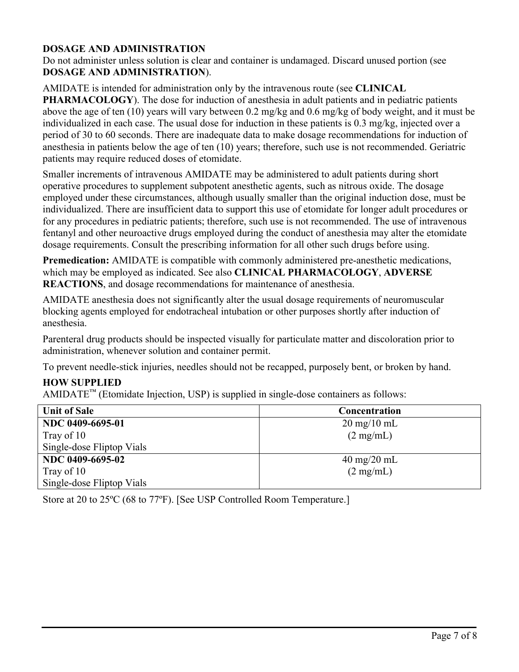### **DOSAGE AND ADMINISTRATION**

Do not administer unless solution is clear and container is undamaged. Discard unused portion (see **DOSAGE AND ADMINISTRATION**).

AMIDATE is intended for administration only by the intravenous route (see **CLINICAL PHARMACOLOGY**). The dose for induction of anesthesia in adult patients and in pediatric patients above the age of ten (10) years will vary between 0.2 mg/kg and 0.6 mg/kg of body weight, and it must be individualized in each case. The usual dose for induction in these patients is 0.3 mg/kg, injected over a period of 30 to 60 seconds. There are inadequate data to make dosage recommendations for induction of anesthesia in patients below the age of ten (10) years; therefore, such use is not recommended. Geriatric patients may require reduced doses of etomidate.

Smaller increments of intravenous AMIDATE may be administered to adult patients during short operative procedures to supplement subpotent anesthetic agents, such as nitrous oxide. The dosage employed under these circumstances, although usually smaller than the original induction dose, must be individualized. There are insufficient data to support this use of etomidate for longer adult procedures or for any procedures in pediatric patients; therefore, such use is not recommended. The use of intravenous fentanyl and other neuroactive drugs employed during the conduct of anesthesia may alter the etomidate dosage requirements. Consult the prescribing information for all other such drugs before using.

**Premedication:** AMIDATE is compatible with commonly administered pre-anesthetic medications, which may be employed as indicated. See also **CLINICAL PHARMACOLOGY**, **ADVERSE REACTIONS**, and dosage recommendations for maintenance of anesthesia.

AMIDATE anesthesia does not significantly alter the usual dosage requirements of neuromuscular blocking agents employed for endotracheal intubation or other purposes shortly after induction of anesthesia.

Parenteral drug products should be inspected visually for particulate matter and discoloration prior to administration, whenever solution and container permit.

To prevent needle-stick injuries, needles should not be recapped, purposely bent, or broken by hand.

#### **HOW SUPPLIED**

AMIDATE<sup>™</sup> (Etomidate Injection, USP) is supplied in single-dose containers as follows:

| <b>Unit of Sale</b>       | Concentration                 |
|---------------------------|-------------------------------|
| NDC 0409-6695-01          | $20 \text{ mg}/10 \text{ mL}$ |
| Tray of 10                | $(2 \text{ mg/mL})$           |
| Single-dose Fliptop Vials |                               |
| NDC 0409-6695-02          | $40 \text{ mg}/20 \text{ mL}$ |
| Tray of 10                | $(2 \text{ mg/mL})$           |
| Single-dose Fliptop Vials |                               |

Store at 20 to 25ºC (68 to 77ºF). [See USP Controlled Room Temperature.]